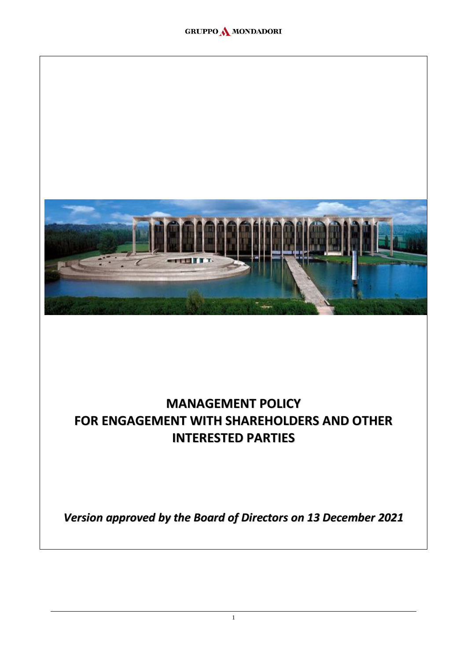

# **MANAGEMENT POLICY FOR ENGAGEMENT WITH SHAREHOLDERS AND OTHER INTERESTED PARTIES**

*Version approved by the Board of Directors on 13 December 2021*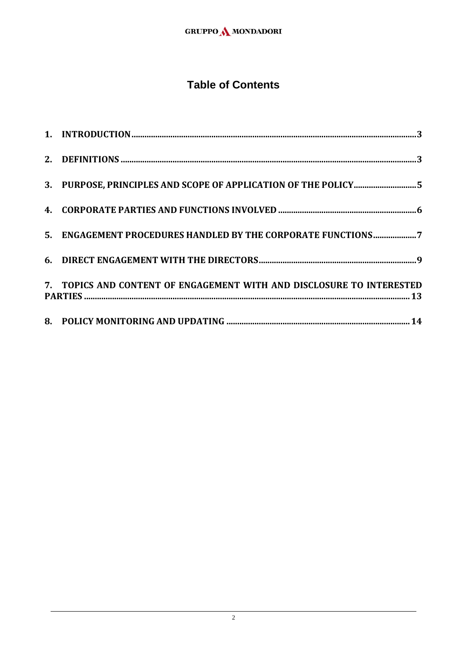## **Table of Contents**

| 3. PURPOSE, PRINCIPLES AND SCOPE OF APPLICATION OF THE POLICY5        |
|-----------------------------------------------------------------------|
|                                                                       |
| 5. ENGAGEMENT PROCEDURES HANDLED BY THE CORPORATE FUNCTIONS7          |
|                                                                       |
| 7. TOPICS AND CONTENT OF ENGAGEMENT WITH AND DISCLOSURE TO INTERESTED |
|                                                                       |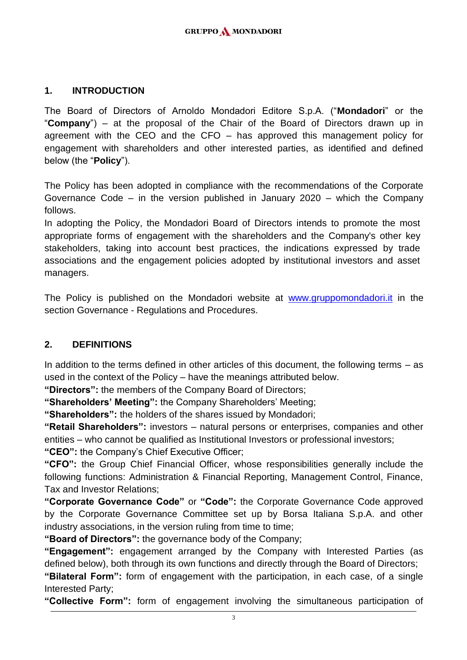#### <span id="page-2-0"></span>**1. INTRODUCTION**

The Board of Directors of Arnoldo Mondadori Editore S.p.A. ("**Mondadori**" or the "**Company**") – at the proposal of the Chair of the Board of Directors drawn up in agreement with the CEO and the CFO – has approved this management policy for engagement with shareholders and other interested parties, as identified and defined below (the "**Policy**").

The Policy has been adopted in compliance with the recommendations of the Corporate Governance Code – in the version published in January 2020 – which the Company follows.

In adopting the Policy, the Mondadori Board of Directors intends to promote the most appropriate forms of engagement with the shareholders and the Company's other key stakeholders, taking into account best practices, the indications expressed by trade associations and the engagement policies adopted by institutional investors and asset managers.

The Policy is published on the Mondadori website at [www.gruppomondadori.it](http://www.gruppomondadori.it/) in the section Governance - Regulations and Procedures.

## <span id="page-2-1"></span>**2. DEFINITIONS**

In addition to the terms defined in other articles of this document, the following terms – as used in the context of the Policy – have the meanings attributed below.

**"Directors":** the members of the Company Board of Directors;

**"Shareholders' Meeting":** the Company Shareholders' Meeting;

**"Shareholders":** the holders of the shares issued by Mondadori;

**"Retail Shareholders":** investors – natural persons or enterprises, companies and other entities – who cannot be qualified as Institutional Investors or professional investors; **"CEO":** the Company's Chief Executive Officer;

**"CFO":** the Group Chief Financial Officer, whose responsibilities generally include the following functions: Administration & Financial Reporting, Management Control, Finance, Tax and Investor Relations;

**"Corporate Governance Code"** or **"Code":** the Corporate Governance Code approved by the Corporate Governance Committee set up by Borsa Italiana S.p.A. and other industry associations, in the version ruling from time to time;

**"Board of Directors":** the governance body of the Company;

**"Engagement":** engagement arranged by the Company with Interested Parties (as defined below), both through its own functions and directly through the Board of Directors;

**"Bilateral Form":** form of engagement with the participation, in each case, of a single Interested Party;

**"Collective Form":** form of engagement involving the simultaneous participation of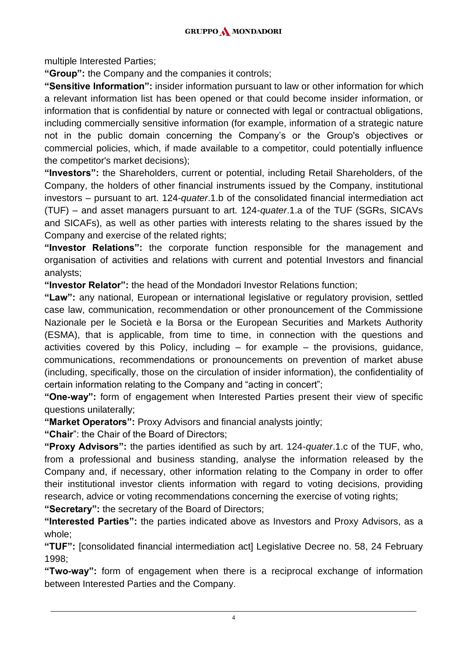multiple Interested Parties;

**"Group":** the Company and the companies it controls;

**"Sensitive Information":** insider information pursuant to law or other information for which a relevant information list has been opened or that could become insider information, or information that is confidential by nature or connected with legal or contractual obligations, including commercially sensitive information (for example, information of a strategic nature not in the public domain concerning the Company's or the Group's objectives or commercial policies, which, if made available to a competitor, could potentially influence the competitor's market decisions);

**"Investors":** the Shareholders, current or potential, including Retail Shareholders, of the Company, the holders of other financial instruments issued by the Company, institutional investors – pursuant to art. 124-*quater*.1.b of the consolidated financial intermediation act (TUF) – and asset managers pursuant to art. 124-*quater*.1.a of the TUF (SGRs, SICAVs and SICAFs), as well as other parties with interests relating to the shares issued by the Company and exercise of the related rights;

**"Investor Relations":** the corporate function responsible for the management and organisation of activities and relations with current and potential Investors and financial analysts;

**"Investor Relator":** the head of the Mondadori Investor Relations function;

**"Law":** any national, European or international legislative or regulatory provision, settled case law, communication, recommendation or other pronouncement of the Commissione Nazionale per le Società e la Borsa or the European Securities and Markets Authority (ESMA), that is applicable, from time to time, in connection with the questions and activities covered by this Policy, including  $-$  for example  $-$  the provisions, quidance, communications, recommendations or pronouncements on prevention of market abuse (including, specifically, those on the circulation of insider information), the confidentiality of certain information relating to the Company and "acting in concert";

**"One-way":** form of engagement when Interested Parties present their view of specific questions unilaterally;

**"Market Operators":** Proxy Advisors and financial analysts jointly;

**"Chair**": the Chair of the Board of Directors;

**"Proxy Advisors":** the parties identified as such by art. 124-*quater*.1.c of the TUF, who, from a professional and business standing, analyse the information released by the Company and, if necessary, other information relating to the Company in order to offer their institutional investor clients information with regard to voting decisions, providing research, advice or voting recommendations concerning the exercise of voting rights;

**"Secretary":** the secretary of the Board of Directors;

**"Interested Parties":** the parties indicated above as Investors and Proxy Advisors, as a whole;

**"TUF":** [consolidated financial intermediation act] Legislative Decree no. 58, 24 February 1998;

**"Two-way":** form of engagement when there is a reciprocal exchange of information between Interested Parties and the Company.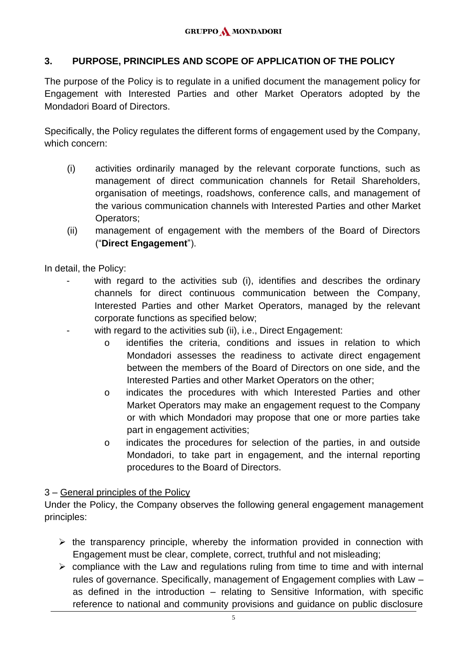#### <span id="page-4-0"></span>**3. PURPOSE, PRINCIPLES AND SCOPE OF APPLICATION OF THE POLICY**

The purpose of the Policy is to regulate in a unified document the management policy for Engagement with Interested Parties and other Market Operators adopted by the Mondadori Board of Directors.

Specifically, the Policy regulates the different forms of engagement used by the Company, which concern:

- (i) activities ordinarily managed by the relevant corporate functions, such as management of direct communication channels for Retail Shareholders, organisation of meetings, roadshows, conference calls, and management of the various communication channels with Interested Parties and other Market Operators;
- (ii) management of engagement with the members of the Board of Directors ("**Direct Engagement**").

In detail, the Policy:

- with regard to the activities sub (i), identifies and describes the ordinary channels for direct continuous communication between the Company, Interested Parties and other Market Operators, managed by the relevant corporate functions as specified below;
	- with regard to the activities sub (ii), i.e., Direct Engagement:
		- o identifies the criteria, conditions and issues in relation to which Mondadori assesses the readiness to activate direct engagement between the members of the Board of Directors on one side, and the Interested Parties and other Market Operators on the other;
		- o indicates the procedures with which Interested Parties and other Market Operators may make an engagement request to the Company or with which Mondadori may propose that one or more parties take part in engagement activities;
		- o indicates the procedures for selection of the parties, in and outside Mondadori, to take part in engagement, and the internal reporting procedures to the Board of Directors.

#### 3 – General principles of the Policy

Under the Policy, the Company observes the following general engagement management principles:

- $\triangleright$  the transparency principle, whereby the information provided in connection with Engagement must be clear, complete, correct, truthful and not misleading;
- $\triangleright$  compliance with the Law and regulations ruling from time to time and with internal rules of governance. Specifically, management of Engagement complies with Law – as defined in the introduction – relating to Sensitive Information, with specific reference to national and community provisions and guidance on public disclosure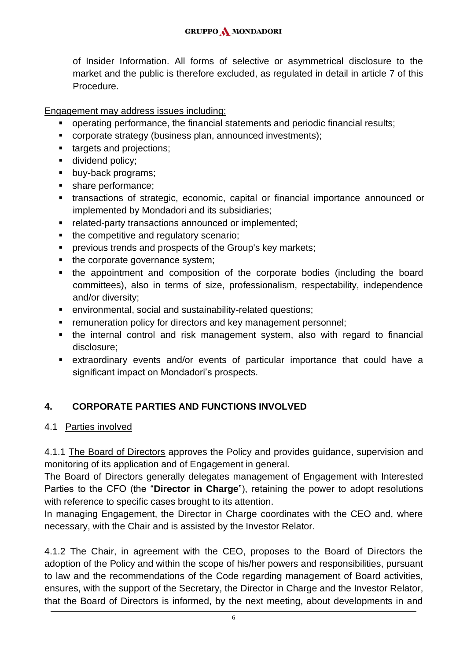of Insider Information. All forms of selective or asymmetrical disclosure to the market and the public is therefore excluded, as regulated in detail in article 7 of this Procedure.

Engagement may address issues including:

- operating performance, the financial statements and periodic financial results;
- corporate strategy (business plan, announced investments);
- targets and projections;
- dividend policy;
- buy-back programs;
- share performance;
- transactions of strategic, economic, capital or financial importance announced or implemented by Mondadori and its subsidiaries;
- related-party transactions announced or implemented;
- the competitive and regulatory scenario;
- previous trends and prospects of the Group's key markets;
- the corporate governance system;
- the appointment and composition of the corporate bodies (including the board committees), also in terms of size, professionalism, respectability, independence and/or diversity;
- environmental, social and sustainability-related questions;
- remuneration policy for directors and key management personnel;
- the internal control and risk management system, also with regard to financial disclosure;
- extraordinary events and/or events of particular importance that could have a significant impact on Mondadori's prospects.

## <span id="page-5-0"></span>**4. CORPORATE PARTIES AND FUNCTIONS INVOLVED**

4.1 Parties involved

4.1.1 The Board of Directors approves the Policy and provides guidance, supervision and monitoring of its application and of Engagement in general.

The Board of Directors generally delegates management of Engagement with Interested Parties to the CFO (the "**Director in Charge**"), retaining the power to adopt resolutions with reference to specific cases brought to its attention.

In managing Engagement, the Director in Charge coordinates with the CEO and, where necessary, with the Chair and is assisted by the Investor Relator.

4.1.2 The Chair, in agreement with the CEO, proposes to the Board of Directors the adoption of the Policy and within the scope of his/her powers and responsibilities, pursuant to law and the recommendations of the Code regarding management of Board activities, ensures, with the support of the Secretary, the Director in Charge and the Investor Relator, that the Board of Directors is informed, by the next meeting, about developments in and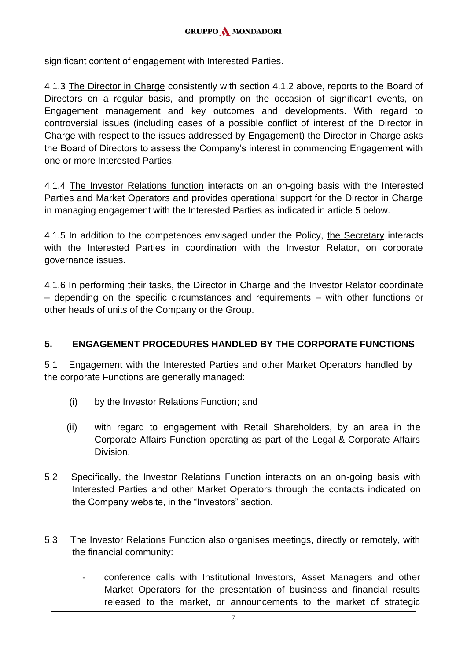significant content of engagement with Interested Parties.

4.1.3 The Director in Charge consistently with section 4.1.2 above, reports to the Board of Directors on a regular basis, and promptly on the occasion of significant events, on Engagement management and key outcomes and developments. With regard to controversial issues (including cases of a possible conflict of interest of the Director in Charge with respect to the issues addressed by Engagement) the Director in Charge asks the Board of Directors to assess the Company's interest in commencing Engagement with one or more Interested Parties.

4.1.4 The Investor Relations function interacts on an on-going basis with the Interested Parties and Market Operators and provides operational support for the Director in Charge in managing engagement with the Interested Parties as indicated in article 5 below.

4.1.5 In addition to the competences envisaged under the Policy, the Secretary interacts with the Interested Parties in coordination with the Investor Relator, on corporate governance issues.

4.1.6 In performing their tasks, the Director in Charge and the Investor Relator coordinate – depending on the specific circumstances and requirements – with other functions or other heads of units of the Company or the Group.

## <span id="page-6-0"></span>**5. ENGAGEMENT PROCEDURES HANDLED BY THE CORPORATE FUNCTIONS**

5.1 Engagement with the Interested Parties and other Market Operators handled by the corporate Functions are generally managed:

- (i) by the Investor Relations Function; and
- (ii) with regard to engagement with Retail Shareholders, by an area in the Corporate Affairs Function operating as part of the Legal & Corporate Affairs Division.
- 5.2 Specifically, the Investor Relations Function interacts on an on-going basis with Interested Parties and other Market Operators through the contacts indicated on the Company website, in the "Investors" section.
- 5.3 The Investor Relations Function also organises meetings, directly or remotely, with the financial community:
	- conference calls with Institutional Investors, Asset Managers and other Market Operators for the presentation of business and financial results released to the market, or announcements to the market of strategic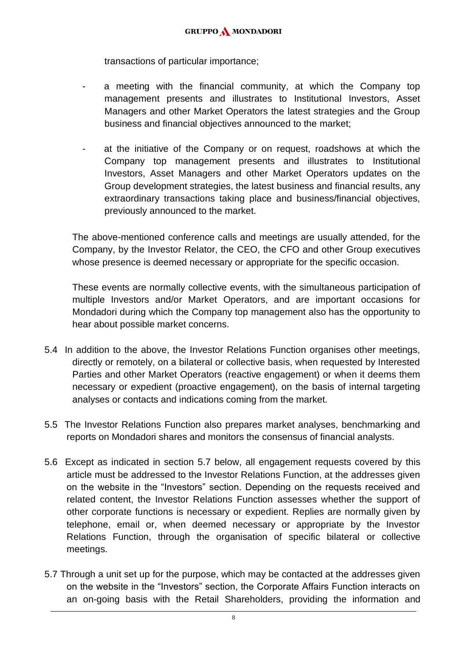transactions of particular importance;

- a meeting with the financial community, at which the Company top management presents and illustrates to Institutional Investors, Asset Managers and other Market Operators the latest strategies and the Group business and financial objectives announced to the market;
- at the initiative of the Company or on request, roadshows at which the Company top management presents and illustrates to Institutional Investors, Asset Managers and other Market Operators updates on the Group development strategies, the latest business and financial results, any extraordinary transactions taking place and business/financial objectives, previously announced to the market.

The above-mentioned conference calls and meetings are usually attended, for the Company, by the Investor Relator, the CEO, the CFO and other Group executives whose presence is deemed necessary or appropriate for the specific occasion.

These events are normally collective events, with the simultaneous participation of multiple Investors and/or Market Operators, and are important occasions for Mondadori during which the Company top management also has the opportunity to hear about possible market concerns.

- 5.4 In addition to the above, the Investor Relations Function organises other meetings, directly or remotely, on a bilateral or collective basis, when requested by Interested Parties and other Market Operators (reactive engagement) or when it deems them necessary or expedient (proactive engagement), on the basis of internal targeting analyses or contacts and indications coming from the market.
- 5.5 The Investor Relations Function also prepares market analyses, benchmarking and reports on Mondadori shares and monitors the consensus of financial analysts.
- 5.6 Except as indicated in section 5.7 below, all engagement requests covered by this article must be addressed to the Investor Relations Function, at the addresses given on the website in the "Investors" section. Depending on the requests received and related content, the Investor Relations Function assesses whether the support of other corporate functions is necessary or expedient. Replies are normally given by telephone, email or, when deemed necessary or appropriate by the Investor Relations Function, through the organisation of specific bilateral or collective meetings.
- 5.7 Through a unit set up for the purpose, which may be contacted at the addresses given on the website in the "Investors" section, the Corporate Affairs Function interacts on an on-going basis with the Retail Shareholders, providing the information and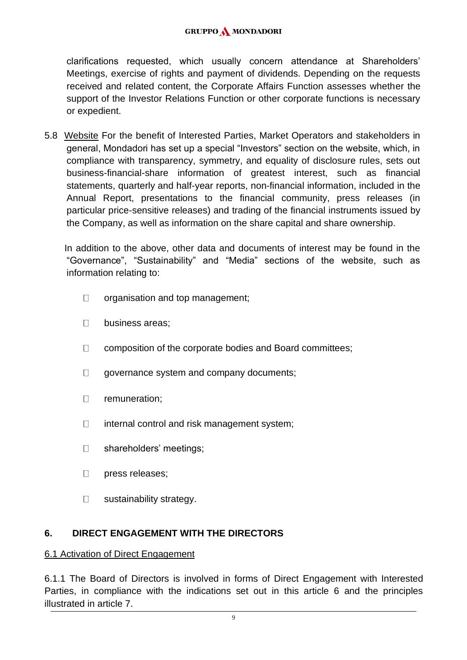#### **GRUPPO A MONDADORI**

clarifications requested, which usually concern attendance at Shareholders' Meetings, exercise of rights and payment of dividends. Depending on the requests received and related content, the Corporate Affairs Function assesses whether the support of the Investor Relations Function or other corporate functions is necessary or expedient.

5.8 Website For the benefit of Interested Parties, Market Operators and stakeholders in general, Mondadori has set up a special "Investors" section on the website, which, in compliance with transparency, symmetry, and equality of disclosure rules, sets out business-financial-share information of greatest interest, such as financial statements, quarterly and half-year reports, non-financial information, included in the Annual Report, presentations to the financial community, press releases (in particular price-sensitive releases) and trading of the financial instruments issued by the Company, as well as information on the share capital and share ownership.

 In addition to the above, other data and documents of interest may be found in the "Governance", "Sustainability" and "Media" sections of the website, such as information relating to:

- $\Box$ organisation and top management;
- $\Box$ business areas;
- $\Box$ composition of the corporate bodies and Board committees;
- $\Box$ governance system and company documents;
- $\Box$ remuneration;
- $\Box$ internal control and risk management system;
- $\Box$ shareholders' meetings;
- $\Box$ press releases;
- $\Box$ sustainability strategy.

## <span id="page-8-0"></span>**6. DIRECT ENGAGEMENT WITH THE DIRECTORS**

#### 6.1 Activation of Direct Engagement

6.1.1 The Board of Directors is involved in forms of Direct Engagement with Interested Parties, in compliance with the indications set out in this article 6 and the principles illustrated in article 7.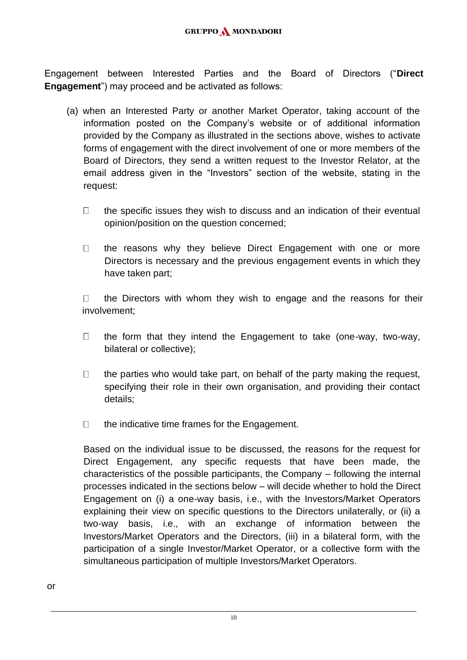Engagement between Interested Parties and the Board of Directors ("**Direct Engagement**") may proceed and be activated as follows:

- (a) when an Interested Party or another Market Operator, taking account of the information posted on the Company's website or of additional information provided by the Company as illustrated in the sections above, wishes to activate forms of engagement with the direct involvement of one or more members of the Board of Directors, they send a written request to the Investor Relator, at the email address given in the "Investors" section of the website, stating in the request:
	- $\Box$ the specific issues they wish to discuss and an indication of their eventual opinion/position on the question concerned;
	- $\Box$ the reasons why they believe Direct Engagement with one or more Directors is necessary and the previous engagement events in which they have taken part;

the Directors with whom they wish to engage and the reasons for their  $\Box$ involvement;

- $\Box$ the form that they intend the Engagement to take (one-way, two-way, bilateral or collective);
- $\Box$ the parties who would take part, on behalf of the party making the request, specifying their role in their own organisation, and providing their contact details;
- $\Box$ the indicative time frames for the Engagement.

Based on the individual issue to be discussed, the reasons for the request for Direct Engagement, any specific requests that have been made, the characteristics of the possible participants, the Company – following the internal processes indicated in the sections below – will decide whether to hold the Direct Engagement on (i) a one-way basis, i.e., with the Investors/Market Operators explaining their view on specific questions to the Directors unilaterally, or (ii) a two-way basis, i.e., with an exchange of information between the Investors/Market Operators and the Directors, (iii) in a bilateral form, with the participation of a single Investor/Market Operator, or a collective form with the simultaneous participation of multiple Investors/Market Operators.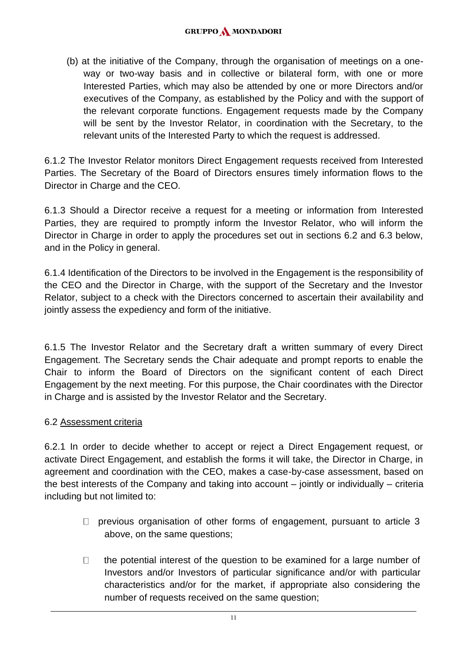(b) at the initiative of the Company, through the organisation of meetings on a oneway or two-way basis and in collective or bilateral form, with one or more Interested Parties, which may also be attended by one or more Directors and/or executives of the Company, as established by the Policy and with the support of the relevant corporate functions. Engagement requests made by the Company will be sent by the Investor Relator, in coordination with the Secretary, to the relevant units of the Interested Party to which the request is addressed.

6.1.2 The Investor Relator monitors Direct Engagement requests received from Interested Parties. The Secretary of the Board of Directors ensures timely information flows to the Director in Charge and the CEO.

6.1.3 Should a Director receive a request for a meeting or information from Interested Parties, they are required to promptly inform the Investor Relator, who will inform the Director in Charge in order to apply the procedures set out in sections 6.2 and 6.3 below, and in the Policy in general.

6.1.4 Identification of the Directors to be involved in the Engagement is the responsibility of the CEO and the Director in Charge, with the support of the Secretary and the Investor Relator, subject to a check with the Directors concerned to ascertain their availability and jointly assess the expediency and form of the initiative.

6.1.5 The Investor Relator and the Secretary draft a written summary of every Direct Engagement. The Secretary sends the Chair adequate and prompt reports to enable the Chair to inform the Board of Directors on the significant content of each Direct Engagement by the next meeting. For this purpose, the Chair coordinates with the Director in Charge and is assisted by the Investor Relator and the Secretary.

## 6.2 Assessment criteria

6.2.1 In order to decide whether to accept or reject a Direct Engagement request, or activate Direct Engagement, and establish the forms it will take, the Director in Charge, in agreement and coordination with the CEO, makes a case-by-case assessment, based on the best interests of the Company and taking into account – jointly or individually – criteria including but not limited to:

- $\Box$  previous organisation of other forms of engagement, pursuant to article 3 above, on the same questions;
- $\Box$ the potential interest of the question to be examined for a large number of Investors and/or Investors of particular significance and/or with particular characteristics and/or for the market, if appropriate also considering the number of requests received on the same question;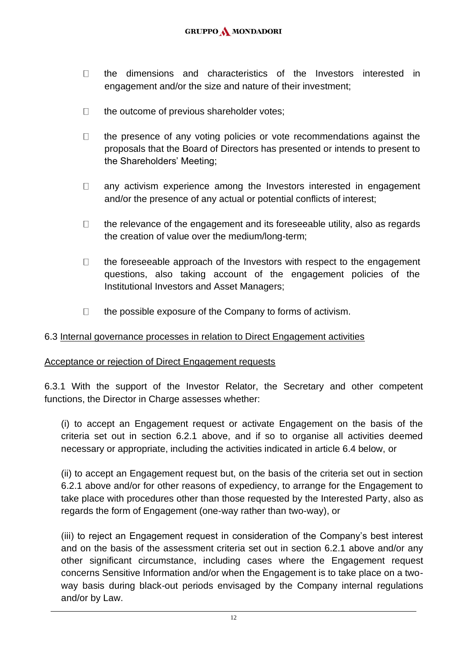- $\Box$ the dimensions and characteristics of the Investors interested in engagement and/or the size and nature of their investment;
- $\Box$ the outcome of previous shareholder votes;
- $\Box$ the presence of any voting policies or vote recommendations against the proposals that the Board of Directors has presented or intends to present to the Shareholders' Meeting;
- $\Box$ any activism experience among the Investors interested in engagement and/or the presence of any actual or potential conflicts of interest;
- $\Box$ the relevance of the engagement and its foreseeable utility, also as regards the creation of value over the medium/long-term;
- $\Box$ the foreseeable approach of the Investors with respect to the engagement questions, also taking account of the engagement policies of the Institutional Investors and Asset Managers;
- $\Box$ the possible exposure of the Company to forms of activism.

#### 6.3 Internal governance processes in relation to Direct Engagement activities

#### Acceptance or rejection of Direct Engagement requests

6.3.1 With the support of the Investor Relator, the Secretary and other competent functions, the Director in Charge assesses whether:

(i) to accept an Engagement request or activate Engagement on the basis of the criteria set out in section 6.2.1 above, and if so to organise all activities deemed necessary or appropriate, including the activities indicated in article 6.4 below, or

(ii) to accept an Engagement request but, on the basis of the criteria set out in section 6.2.1 above and/or for other reasons of expediency, to arrange for the Engagement to take place with procedures other than those requested by the Interested Party, also as regards the form of Engagement (one-way rather than two-way), or

(iii) to reject an Engagement request in consideration of the Company's best interest and on the basis of the assessment criteria set out in section 6.2.1 above and/or any other significant circumstance, including cases where the Engagement request concerns Sensitive Information and/or when the Engagement is to take place on a twoway basis during black-out periods envisaged by the Company internal regulations and/or by Law.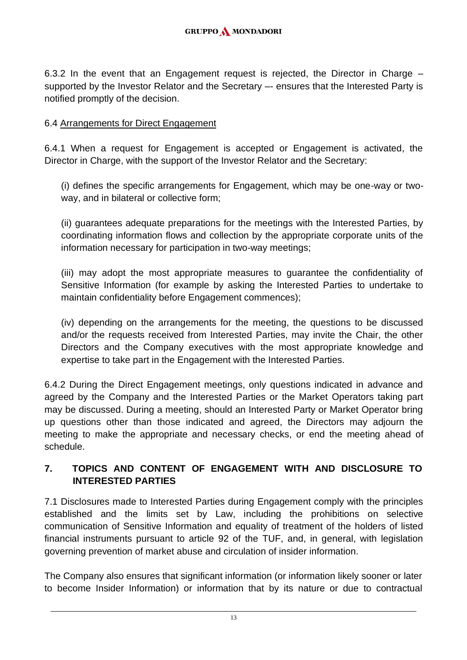6.3.2 In the event that an Engagement request is rejected, the Director in Charge – supported by the Investor Relator and the Secretary –- ensures that the Interested Party is notified promptly of the decision.

## 6.4 Arrangements for Direct Engagement

6.4.1 When a request for Engagement is accepted or Engagement is activated, the Director in Charge, with the support of the Investor Relator and the Secretary:

(i) defines the specific arrangements for Engagement, which may be one-way or twoway, and in bilateral or collective form;

(ii) guarantees adequate preparations for the meetings with the Interested Parties, by coordinating information flows and collection by the appropriate corporate units of the information necessary for participation in two-way meetings;

(iii) may adopt the most appropriate measures to guarantee the confidentiality of Sensitive Information (for example by asking the Interested Parties to undertake to maintain confidentiality before Engagement commences);

(iv) depending on the arrangements for the meeting, the questions to be discussed and/or the requests received from Interested Parties, may invite the Chair, the other Directors and the Company executives with the most appropriate knowledge and expertise to take part in the Engagement with the Interested Parties.

6.4.2 During the Direct Engagement meetings, only questions indicated in advance and agreed by the Company and the Interested Parties or the Market Operators taking part may be discussed. During a meeting, should an Interested Party or Market Operator bring up questions other than those indicated and agreed, the Directors may adjourn the meeting to make the appropriate and necessary checks, or end the meeting ahead of schedule.

## <span id="page-12-0"></span>**7. TOPICS AND CONTENT OF ENGAGEMENT WITH AND DISCLOSURE TO INTERESTED PARTIES**

7.1 Disclosures made to Interested Parties during Engagement comply with the principles established and the limits set by Law, including the prohibitions on selective communication of Sensitive Information and equality of treatment of the holders of listed financial instruments pursuant to article 92 of the TUF, and, in general, with legislation governing prevention of market abuse and circulation of insider information.

The Company also ensures that significant information (or information likely sooner or later to become Insider Information) or information that by its nature or due to contractual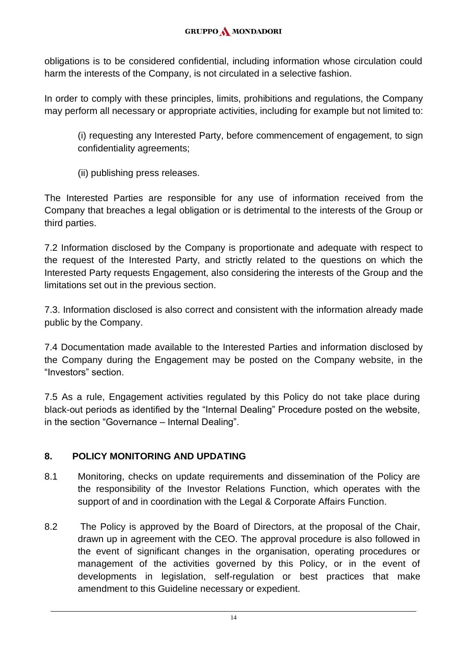obligations is to be considered confidential, including information whose circulation could harm the interests of the Company, is not circulated in a selective fashion.

In order to comply with these principles, limits, prohibitions and regulations, the Company may perform all necessary or appropriate activities, including for example but not limited to:

(i) requesting any Interested Party, before commencement of engagement, to sign confidentiality agreements;

(ii) publishing press releases.

The Interested Parties are responsible for any use of information received from the Company that breaches a legal obligation or is detrimental to the interests of the Group or third parties.

7.2 Information disclosed by the Company is proportionate and adequate with respect to the request of the Interested Party, and strictly related to the questions on which the Interested Party requests Engagement, also considering the interests of the Group and the limitations set out in the previous section.

7.3. Information disclosed is also correct and consistent with the information already made public by the Company.

7.4 Documentation made available to the Interested Parties and information disclosed by the Company during the Engagement may be posted on the Company website, in the "Investors" section.

7.5 As a rule, Engagement activities regulated by this Policy do not take place during black-out periods as identified by the "Internal Dealing" Procedure posted on the website, in the section "Governance – Internal Dealing".

## <span id="page-13-0"></span>**8. POLICY MONITORING AND UPDATING**

- 8.1 Monitoring, checks on update requirements and dissemination of the Policy are the responsibility of the Investor Relations Function, which operates with the support of and in coordination with the Legal & Corporate Affairs Function.
- 8.2 The Policy is approved by the Board of Directors, at the proposal of the Chair, drawn up in agreement with the CEO. The approval procedure is also followed in the event of significant changes in the organisation, operating procedures or management of the activities governed by this Policy, or in the event of developments in legislation, self-regulation or best practices that make amendment to this Guideline necessary or expedient.